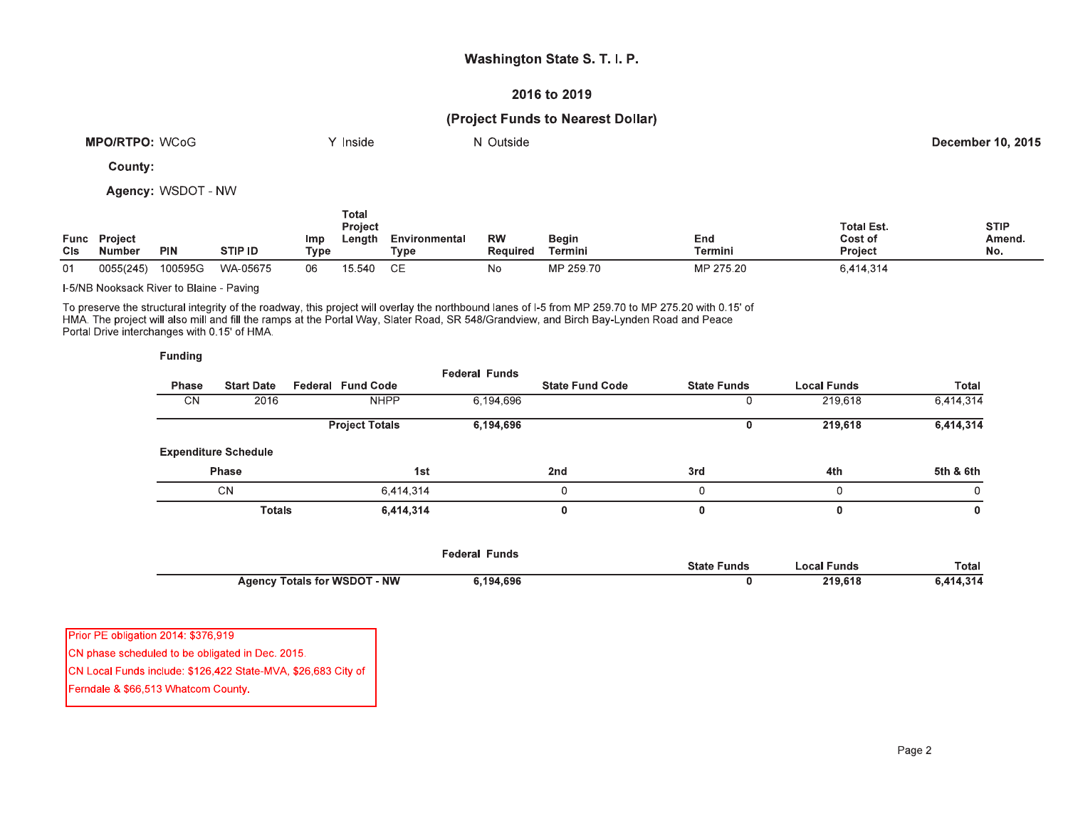## Washington State S. T. I. P.

#### 2016 to 2019

## (Project Funds to Nearest Dollar)

| <b>WCoG</b><br><b>MPO/RTPO:</b> | <b>Inside</b> | Outside<br>M | <b>December 10, 2015</b> |
|---------------------------------|---------------|--------------|--------------------------|
|                                 |               |              |                          |

County:

Agency: WSDOT - NW

| <b>Func</b><br>CIs | <b>Project</b><br><b>Number</b> | <b>PIN</b> | STIP ID  | <b>Imp</b><br>Type | Total<br><b>Project</b><br>Length | Environmental<br>$\tau_\mathsf{VDE}$ | <b>RW</b><br><b>Required</b> | <b>Begin</b><br>Termini | End<br>Termini | <b>Total Est.</b><br>Cost of<br><b>Project</b> | <b>STIP</b><br>Amend,<br>No. |
|--------------------|---------------------------------|------------|----------|--------------------|-----------------------------------|--------------------------------------|------------------------------|-------------------------|----------------|------------------------------------------------|------------------------------|
| 01                 | 0055(245)                       | 100595G    | WA-05675 | 06                 | 15,540                            | CЕ                                   | No                           | MP 259.70               | MP 275.20      | 6,414,314                                      |                              |

I-5/NB Nooksack River to Blaine - Paving

To preserve the structural integrity of the roadway, this project will overlay the northbound lanes of I-5 from MP 259.70 to MP 275.20 with 0.15' of<br>HMA. The project will also mill and fill the ramps at the Portal Way, Sla Portal Drive interchanges with 0.15' of HMA

| <b>Funding</b> |                             |                       |                      |                        |                    |                    |              |
|----------------|-----------------------------|-----------------------|----------------------|------------------------|--------------------|--------------------|--------------|
| <b>Phase</b>   | <b>Start Date</b>           | Federal Fund Code     | <b>Federal Funds</b> | <b>State Fund Code</b> | <b>State Funds</b> | <b>Local Funds</b> | <b>Total</b> |
| CΝ             | 2016                        | <b>NHPP</b>           | 6,194,696            |                        |                    | 219,618            | 6,414,314    |
|                |                             | <b>Project Totals</b> | 6,194,696            |                        | υ                  | 219,618            | 6,414,314    |
|                | <b>Expenditure Schedule</b> |                       |                      |                        |                    |                    |              |
|                | <b>Phase</b>                |                       | 1st                  | 2nd                    | 3rd                | 4th                | 5th & 6th    |
|                | <b>CN</b>                   | 6.414.314             |                      |                        | 0                  |                    | 0            |
|                | <b>Totals</b>               | 6,414,314             |                      | Ω                      |                    |                    | 0            |

|                                     | Federal Funds |                    |             |              |
|-------------------------------------|---------------|--------------------|-------------|--------------|
|                                     |               | <b>State Funds</b> | ∟ocal Funds | Total        |
| <b>Agency Totals for WSDOT - NW</b> | .194,696      |                    | 219.618     | 4.314<br>. . |

| Prior PE obligation 2014: \$376,919                           |
|---------------------------------------------------------------|
| CN phase scheduled to be obligated in Dec. 2015.              |
| CN Local Funds include: \$126,422 State-MVA, \$26,683 City of |

Ferndale & \$66,513 Whatcom County.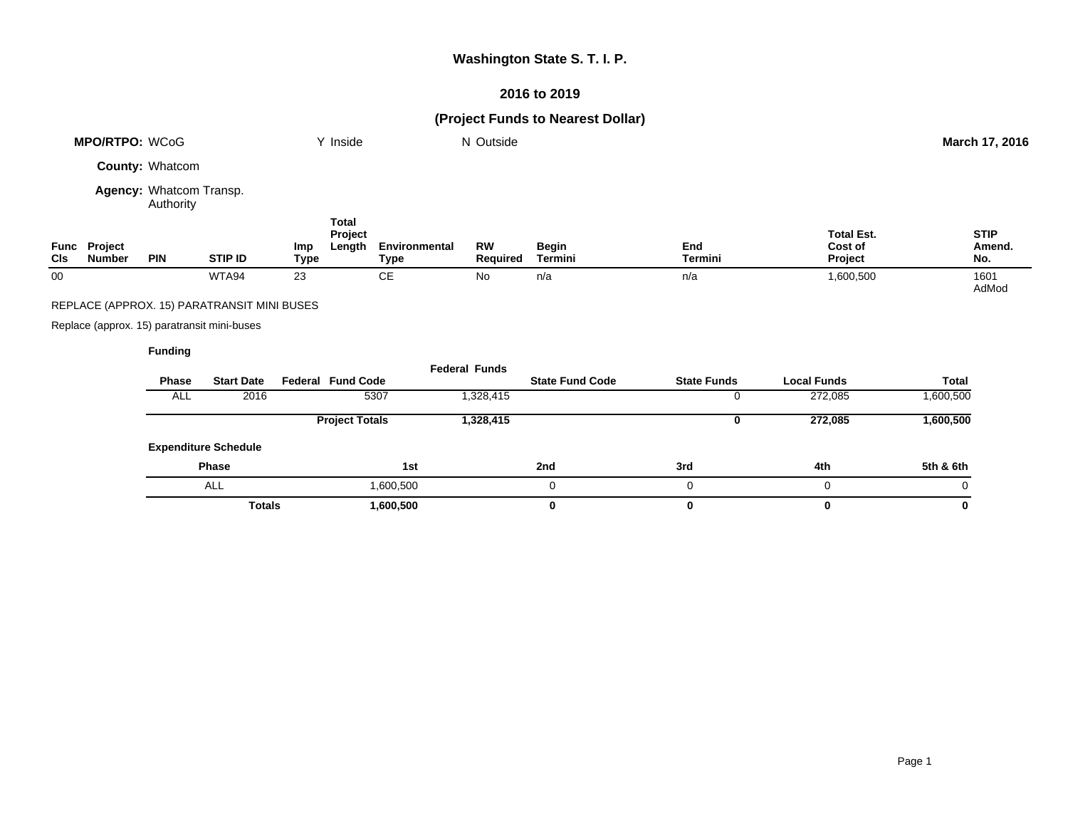# **Washington State S. T. I. P.**

# **2016 to 2019**

# **(Project Funds to Nearest Dollar)**

|        | MPO/RTPO: WCoG                              |                                      |                                             |                    | Y Inside                          |                                     | N Outside             |                         |                    |                                         | March 17, 2016               |  |
|--------|---------------------------------------------|--------------------------------------|---------------------------------------------|--------------------|-----------------------------------|-------------------------------------|-----------------------|-------------------------|--------------------|-----------------------------------------|------------------------------|--|
|        |                                             | <b>County: Whatcom</b>               |                                             |                    |                                   |                                     |                       |                         |                    |                                         |                              |  |
|        |                                             | Agency: Whatcom Transp.<br>Authority |                                             |                    |                                   |                                     |                       |                         |                    |                                         |                              |  |
| CIs    | Func Project<br><b>Number</b>               | <b>PIN</b>                           | <b>STIP ID</b>                              | <b>Imp</b><br>Type | <b>Total</b><br>Project<br>Length | <b>Environmental</b><br><b>Type</b> | <b>RW</b><br>Required | <b>Begin</b><br>Termini | End<br>Termini     | <b>Total Est.</b><br>Cost of<br>Project | <b>STIP</b><br>Amend.<br>No. |  |
| $00\,$ |                                             |                                      | WTA94                                       | 23                 |                                   | <b>CE</b>                           | No                    | n/a                     | n/a                | 1,600,500                               | 1601<br>AdMod                |  |
|        |                                             |                                      | REPLACE (APPROX. 15) PARATRANSIT MINI BUSES |                    |                                   |                                     |                       |                         |                    |                                         |                              |  |
|        | Replace (approx. 15) paratransit mini-buses |                                      |                                             |                    |                                   |                                     |                       |                         |                    |                                         |                              |  |
|        |                                             | <b>Funding</b>                       |                                             |                    |                                   |                                     |                       |                         |                    |                                         |                              |  |
|        |                                             | <b>Phase</b>                         | <b>Start Date</b>                           |                    | <b>Federal Fund Code</b>          |                                     | <b>Federal Funds</b>  | <b>State Fund Code</b>  | <b>State Funds</b> | <b>Local Funds</b>                      | <b>Total</b>                 |  |
|        |                                             | <b>ALL</b>                           | 2016                                        |                    |                                   | 5307                                | 1,328,415             |                         | 0                  | 272,085                                 | 1,600,500                    |  |
|        |                                             |                                      |                                             |                    | <b>Project Totals</b>             |                                     | 1,328,415             |                         | 0                  | 272,085                                 | 1,600,500                    |  |
|        |                                             |                                      | <b>Expenditure Schedule</b>                 |                    |                                   |                                     |                       |                         |                    |                                         |                              |  |
|        |                                             |                                      | Phase                                       |                    |                                   | 1st                                 |                       | 2nd                     | 3rd                | 4th                                     | 5th & 6th                    |  |
|        |                                             |                                      | ALL                                         |                    |                                   | 1,600,500                           |                       | 0                       | 0                  | 0                                       | 0                            |  |
|        |                                             |                                      | <b>Totals</b>                               |                    |                                   | 1,600,500                           |                       | 0                       | 0                  | 0                                       | 0                            |  |